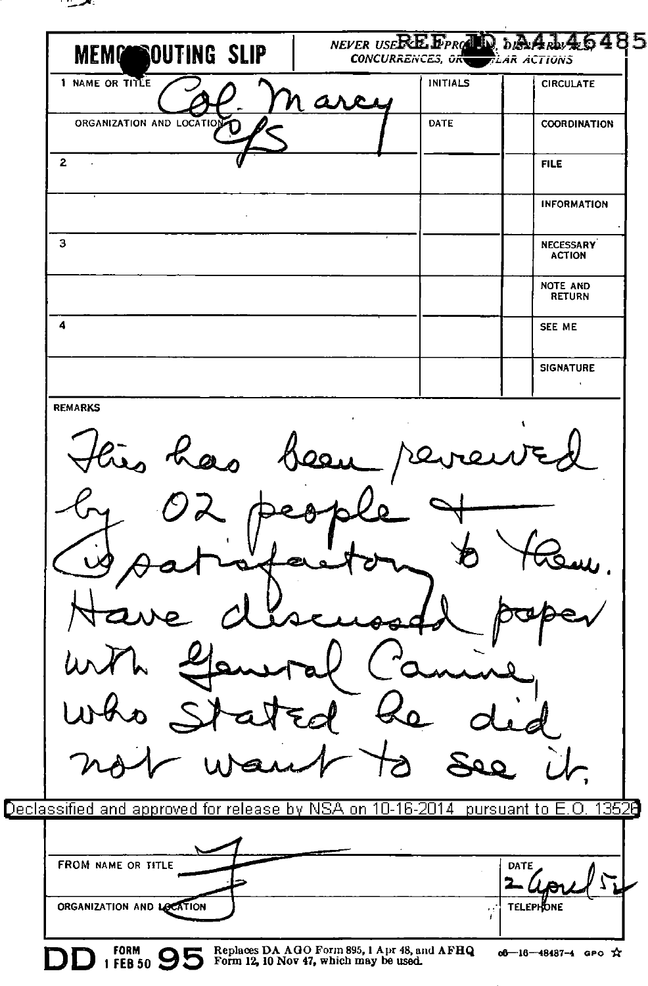

| 1 NAME OR TITLE                                                                               | <b>INITIALS</b> | <b>CIRCULATE</b>                   |
|-----------------------------------------------------------------------------------------------|-----------------|------------------------------------|
| ORGANIZATION AND LOCATION                                                                     | DATE            | COORDINATION                       |
| $\mathbf{z}$                                                                                  |                 | <b>FILE</b>                        |
|                                                                                               |                 | <b>INFORMATION</b>                 |
| 3                                                                                             |                 | <b>NECESSARY</b><br><b>ACTION</b>  |
|                                                                                               |                 | NOTE AND<br>RETURN                 |
| 4                                                                                             |                 | SEE ME                             |
|                                                                                               |                 | <b>SIGNATURE</b><br>$\blacksquare$ |
|                                                                                               |                 |                                    |
|                                                                                               |                 |                                    |
| eclassified and approved for release by NSA on 10-16-2014 $\,$ pursuant to E.O. 1352 $\theta$ |                 |                                    |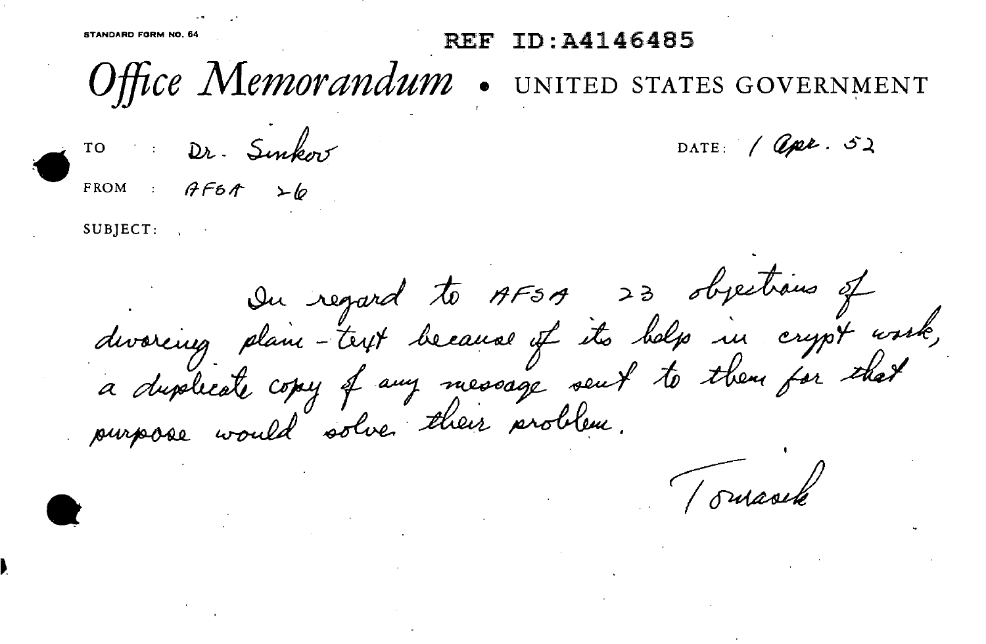TD: 44146485

Office Memorandum

TO Dr. Sinkov

DATE:  $\sqrt{Q\mu\ell}.\ \mathcal{S}\lambda$ 

UNITED STATES GOVERNMENT

FROM :  $AF6A \rightarrow b$ 

 $SUB|ECT:$ 

On regard to AFSA 23 objections of<br>divercing plain - trip because if its belp in crypt work,<br>a duplicate copy of any message sent to them for thet

Tomark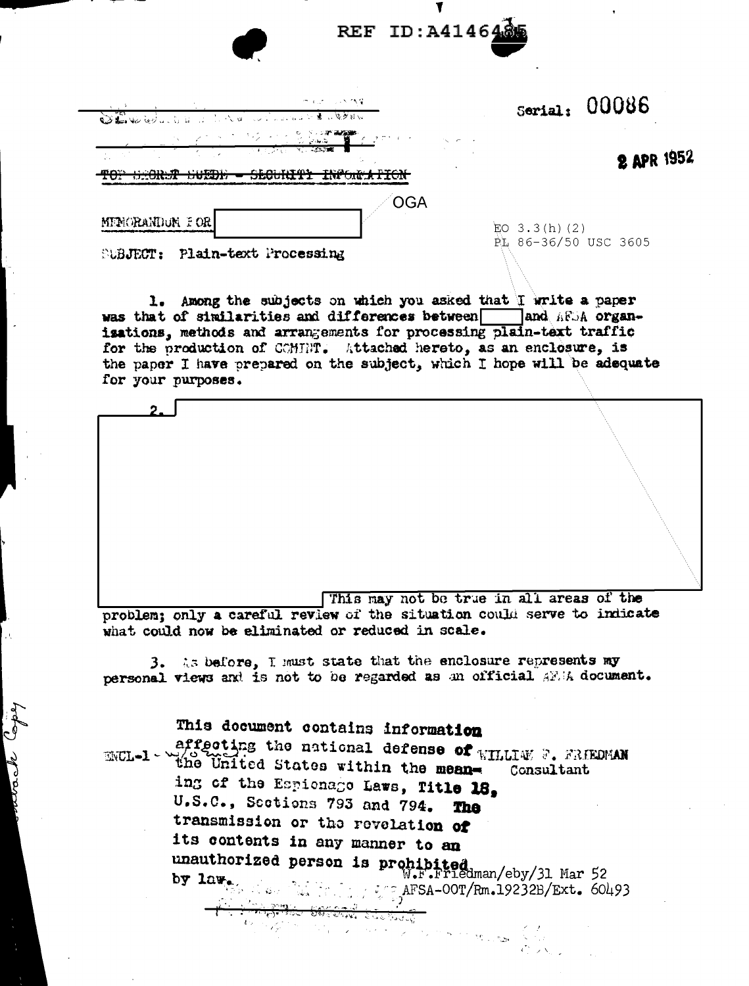|  | REF ID: A4146485 |
|--|------------------|
|--|------------------|

| State of the most of the second of the second to the second to the second to the second to the second to the second to the second to the second to the second to the second to the second to the second to the second to the s | アルカーラン ひく                                                                                                                                                                                                                                                                                                                                                                                                                                                                                                                           |                                         | Serial: $00086$   |
|--------------------------------------------------------------------------------------------------------------------------------------------------------------------------------------------------------------------------------|-------------------------------------------------------------------------------------------------------------------------------------------------------------------------------------------------------------------------------------------------------------------------------------------------------------------------------------------------------------------------------------------------------------------------------------------------------------------------------------------------------------------------------------|-----------------------------------------|-------------------|
| <b>A CONTINUES OF A CONSTRUCTION</b><br>m ny<br>www                                                                                                                                                                            | <u> マンクラインターである場合</u> - 100mg - 100mg - 100mg - 100mg - 100mg - 100mg - 100mg - 100mg - 100mg - 100mg - 100mg - 100mg - 100mg - 100mg - 100mg - 100mg - 100mg - 100mg - 100mg - 100mg - 100mg -<br>$\sim$ $\sim$<br><u>the contract of the second the second the second the second the second the second the second the second the second the second the second the second the second the second the second the second the second the second the sec</u><br>ድይወን የነፃወኔ - ተድሬሬ ኤሪ ቤዋሪነር<br>--------------------<br><u>JEULILLI L</u> |                                         | <b>2 APR 1952</b> |
| MENORANDON FOR                                                                                                                                                                                                                 | OGA                                                                                                                                                                                                                                                                                                                                                                                                                                                                                                                                 | $E_0$ 3.3(h)(2)<br>PL 86-36/50 USC 3605 |                   |

**SUBJECT: Plain-text Processing** 

rach Cape

1. Among the subjects on which you asked that I write a paper was that of similarities and differences between and AFSA organisations, methods and arrangements for processing plain-text traffic for the production of COMTHT. Attached hereto, as an enclosure, is the paper I have prepared on the subject, which I hope will be adequate for your purposes.

This may not be true in all areas of the

problem; only a careful review of the situation could serve to indicate what could now be eliminated or reduced in scale.

3. As before, I must state that the enclosure represents my personal views and is not to be regarded as an official AFIA document.

## This document contains information

affecting the national defense of  $\kappa_{\text{HLLLW}}$  , FRIEDMAN  **and United States within the mean-**Consultant ing of the Espionage Laws, Title 18, U.S.C., Sections 793 and 794. The transmission or the revelation of its contents in any manner to an unauthorized person is prohibited<br>W.F.Friedman/eby/31 Mar 52 AFSA-00T/Rm.19232B/Ext. 60493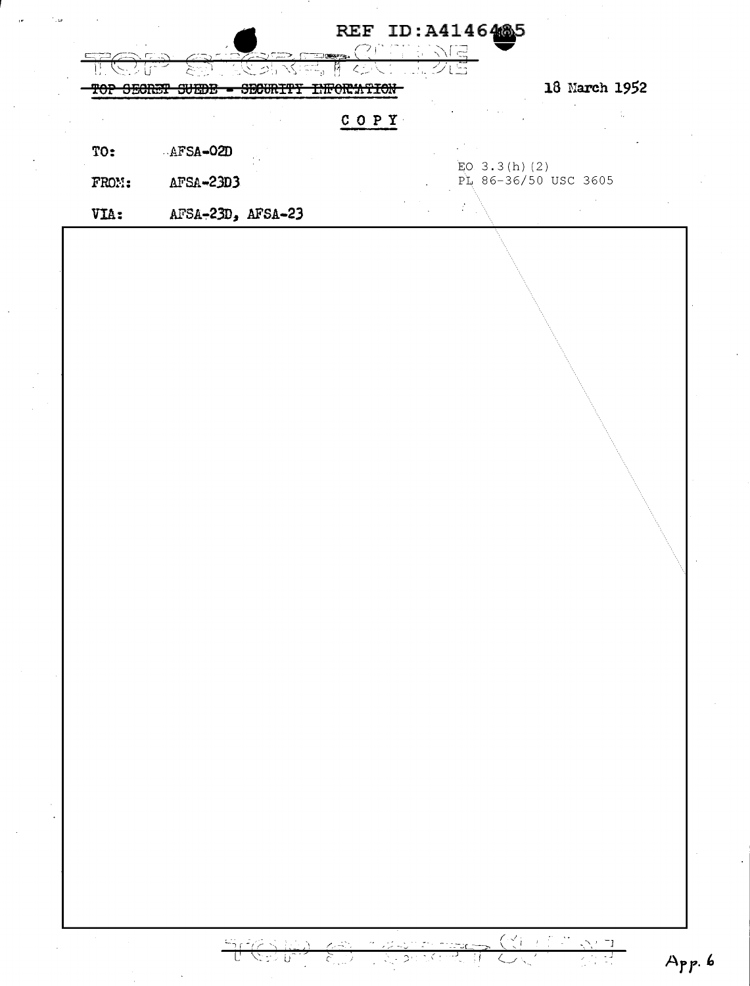| <del>oecner</del> | <del>SBOURITY</del><br>VULUD | <del>INFORWTION</del> | 18 March 1952        |
|-------------------|------------------------------|-----------------------|----------------------|
|                   |                              | $C$ $O$ $P$ $Y$       |                      |
| TO:               | AFSA-02D                     |                       | EO. $3.3(h)$ (2)     |
| FROM:             | $AFSA-23D3$                  |                       | PL 86-36/50 USC 3605 |
| VIA:              | AFSA-23D, AFSA-23            |                       |                      |
|                   |                              |                       |                      |
|                   |                              |                       |                      |
|                   |                              |                       |                      |
|                   |                              |                       |                      |
|                   |                              |                       |                      |

 $\frac{1}{2}$ 

 $\frac{1}{\sqrt{2}}$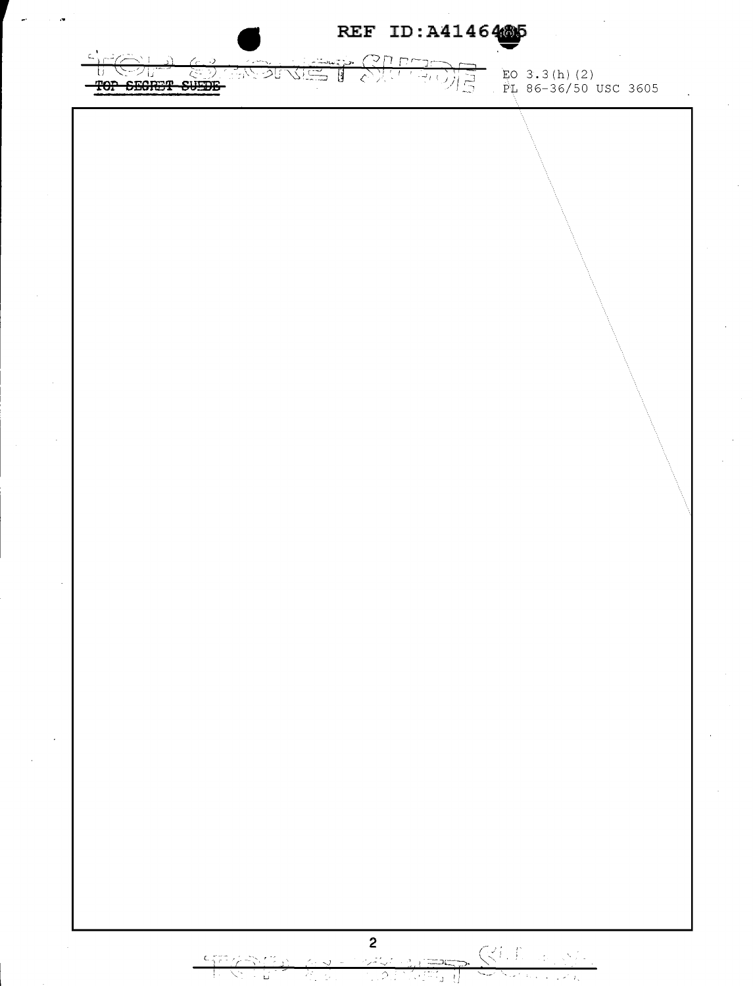REF ID: A4146485 TO SECRET SUFFICIOUS ים ו]י T  $E_0$  3.3(h)(2)<br> $E_1$  86-36/50 USC 3605 रें 키를  $\omega_{I}$  $\mathbf{2}$ **KILL** SE وريانتيريه  $\mathsf{C}$  $\epsilon$ عطتن

स्ति धा

 $\sqrt{2}$ 

ੱਦੀਨ ਸ਼੍ਰੋ

المبايا

الم الأمريكية المحم<sup>و</sup>ة الأمريكية

ਲਾ ਪ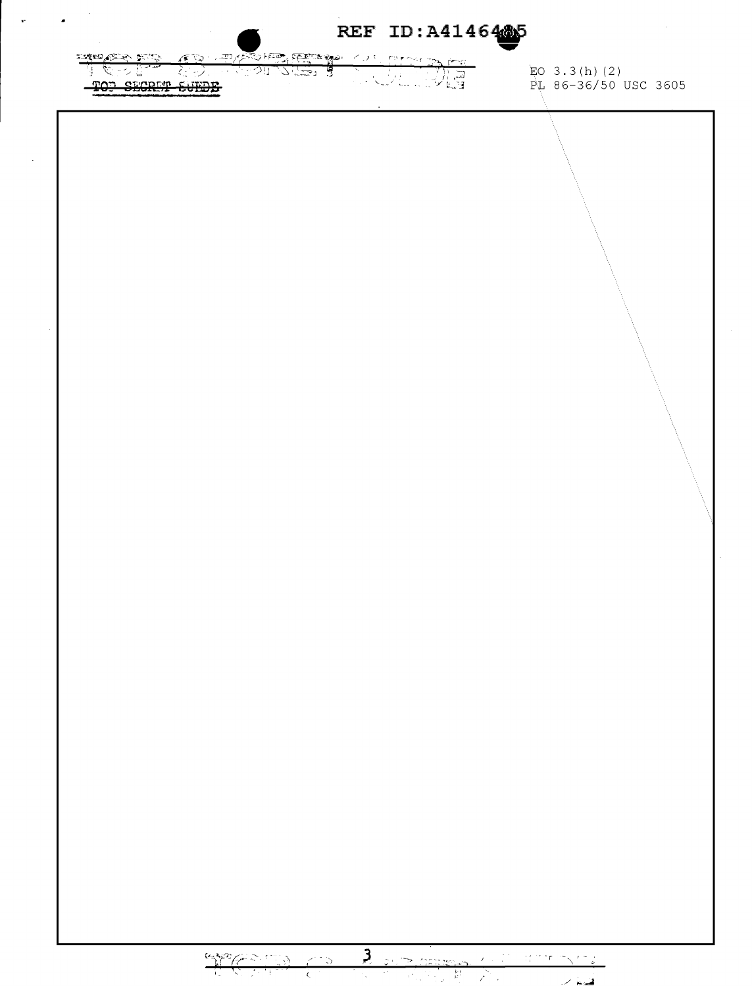$\sim$  $\mathcal{L}_{\mathbf{z}}$ REF ID: A4146445 or co EO 3.3(h)(2)<br>PL 86-36/50 USC 3605 不见的现象。 TOP SECRET SUEDE 3 200 BERBA 100 BOTT NOT  $\frac{G_{\infty}^{1/2}G_{\infty}^{2/2}G_{\infty}^{2/2}G_{\infty}^{2/2}G_{\infty}^{2/2}G_{\infty}^{2/2}G_{\infty}^{2/2}G_{\infty}^{2/2}G_{\infty}^{2/2}G_{\infty}^{2/2}G_{\infty}^{2/2}G_{\infty}^{2/2}G_{\infty}^{2/2}G_{\infty}^{2/2}G_{\infty}^{2/2}G_{\infty}^{2/2}G_{\infty}^{2/2}G_{\infty}^{2/2}G_{\infty}^{2/2}G_{\infty}^{2$ 

 $\mathbf{r}$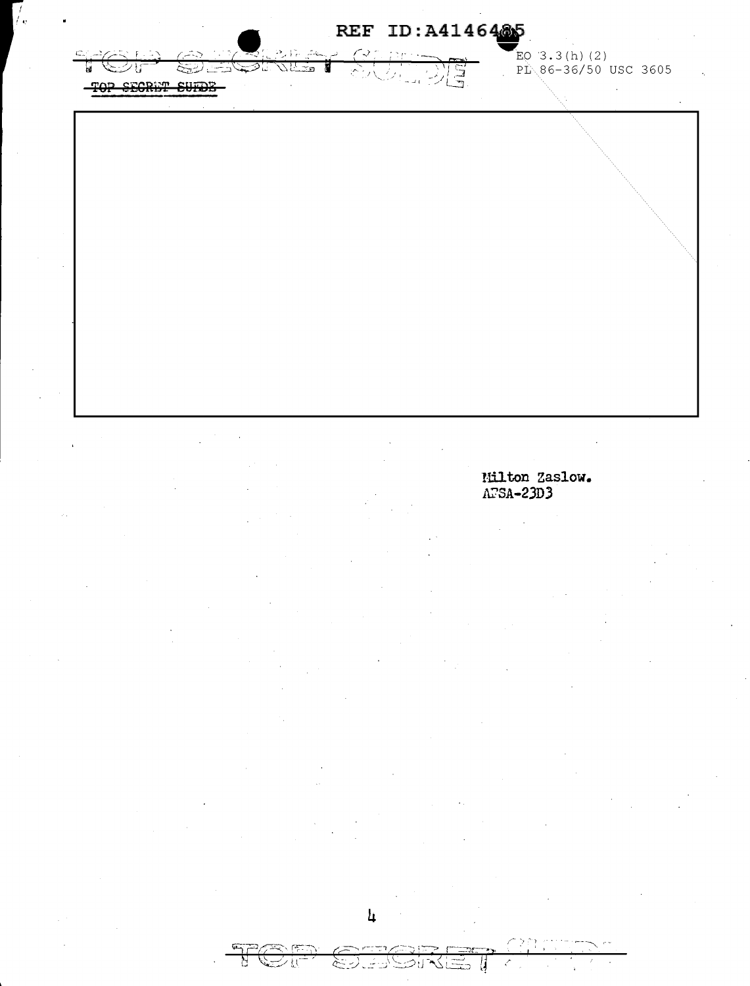

Milton Zaslow.  $\overline{\text{A}2\text{SA}-23\text{D}}$ 3

ਖੋ

シに

かんさんだい

 $\left\langle \right\rangle$